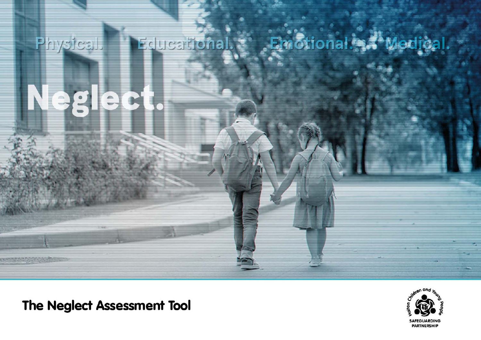# Physical Fducational. notional

The Neglect Assessment Tool

E

2

 $\mathbf{V}$ 

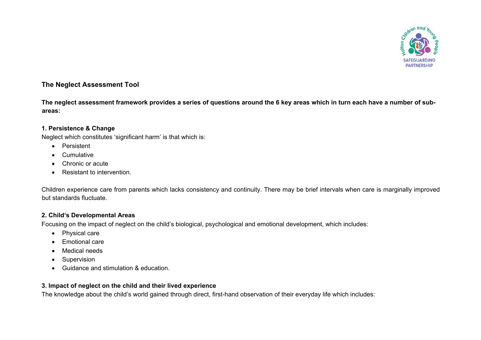

# **The Neglect Assessment Tool**

**The neglect assessment framework provides a series of questions around the 6 key areas which in turn each have a number of subareas:** 

#### **1. Persistence & Change**

Neglect which constitutes 'significant harm' is that which is:

- Persistent
- Cumulative
- Chronic or acute
- Resistant to intervention.

Children experience care from parents which lacks consistency and continuity. There may be brief intervals when care is marginally improved but standards fluctuate.

### **2. Child's Developmental Areas**

Focusing on the impact of neglect on the child's biological, psychological and emotional development, which includes:

- Physical care
- Emotional care
- Medical needs
- Supervision
- Guidance and stimulation & education.

# **3. Impact of neglect on the child and their lived experience**

The knowledge about the child's world gained through direct, first-hand observation of their everyday life which includes: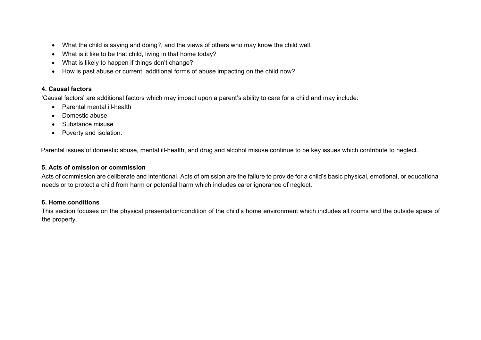- What the child is saying and doing?, and the views of others who may know the child well.
- What is it like to be that child, living in that home today?
- What is likely to happen if things don't change?
- How is past abuse or current, additional forms of abuse impacting on the child now?

# **4. Causal factors**

'Causal factors' are additional factors which may impact upon a parent's ability to care for a child and may include:

- Parental mental ill-health
- Domestic abuse
- Substance misuse
- Poverty and isolation.

Parental issues of domestic abuse, mental ill-health, and drug and alcohol misuse continue to be key issues which contribute to neglect.

# **5. Acts of omission or commission**

Acts of commission are deliberate and intentional. Acts of omission are the failure to provide for a child's basic physical, emotional, or educational needs or to protect a child from harm or potential harm which includes carer ignorance of neglect.

### **6. Home conditions**

This section focuses on the physical presentation/condition of the child's home environment which includes all rooms and the outside space of the property.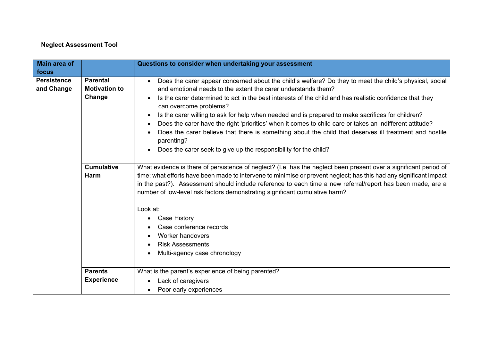# **Neglect Assessment Tool**

| <b>Main area of</b>              |                                                   | Questions to consider when undertaking your assessment                                                                                                                                                                                                                                                                                                                                                                                                                                                                                                                                                                                                                                                                                                |
|----------------------------------|---------------------------------------------------|-------------------------------------------------------------------------------------------------------------------------------------------------------------------------------------------------------------------------------------------------------------------------------------------------------------------------------------------------------------------------------------------------------------------------------------------------------------------------------------------------------------------------------------------------------------------------------------------------------------------------------------------------------------------------------------------------------------------------------------------------------|
| focus                            |                                                   |                                                                                                                                                                                                                                                                                                                                                                                                                                                                                                                                                                                                                                                                                                                                                       |
| <b>Persistence</b><br>and Change | <b>Parental</b><br><b>Motivation to</b><br>Change | Does the carer appear concerned about the child's welfare? Do they to meet the child's physical, social<br>$\bullet$<br>and emotional needs to the extent the carer understands them?<br>Is the carer determined to act in the best interests of the child and has realistic confidence that they<br>can overcome problems?<br>Is the carer willing to ask for help when needed and is prepared to make sacrifices for children?<br>$\bullet$<br>Does the carer have the right 'priorities' when it comes to child care or takes an indifferent attitude?<br>Does the carer believe that there is something about the child that deserves ill treatment and hostile<br>parenting?<br>Does the carer seek to give up the responsibility for the child? |
|                                  | <b>Cumulative</b><br><b>Harm</b>                  | What evidence is there of persistence of neglect? (I.e. has the neglect been present over a significant period of<br>time; what efforts have been made to intervene to minimise or prevent neglect; has this had any significant impact<br>in the past?). Assessment should include reference to each time a new referral/report has been made, are a<br>number of low-level risk factors demonstrating significant cumulative harm?<br>Look at:<br><b>Case History</b><br>Case conference records<br><b>Worker handovers</b><br><b>Risk Assessments</b><br>$\bullet$<br>Multi-agency case chronology                                                                                                                                                 |
|                                  | <b>Parents</b><br><b>Experience</b>               | What is the parent's experience of being parented?<br>Lack of caregivers<br>Poor early experiences                                                                                                                                                                                                                                                                                                                                                                                                                                                                                                                                                                                                                                                    |
|                                  |                                                   |                                                                                                                                                                                                                                                                                                                                                                                                                                                                                                                                                                                                                                                                                                                                                       |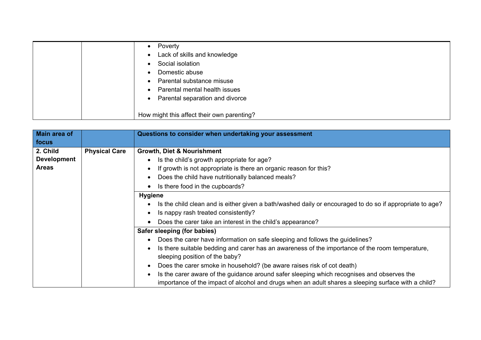| Poverty                                      |
|----------------------------------------------|
| Lack of skills and knowledge<br>$\bullet$    |
| Social isolation                             |
| Domestic abuse                               |
| Parental substance misuse                    |
| Parental mental health issues<br>$\bullet$   |
| Parental separation and divorce<br>$\bullet$ |
|                                              |
| How might this affect their own parenting?   |

| Main area of       |                      | Questions to consider when undertaking your assessment                                                   |
|--------------------|----------------------|----------------------------------------------------------------------------------------------------------|
| focus              |                      |                                                                                                          |
| 2. Child           | <b>Physical Care</b> | <b>Growth, Diet &amp; Nourishment</b>                                                                    |
| <b>Development</b> |                      | Is the child's growth appropriate for age?                                                               |
| <b>Areas</b>       |                      | If growth is not appropriate is there an organic reason for this?                                        |
|                    |                      | Does the child have nutritionally balanced meals?                                                        |
|                    |                      | Is there food in the cupboards?                                                                          |
|                    |                      | <b>Hygiene</b>                                                                                           |
|                    |                      | Is the child clean and is either given a bath/washed daily or encouraged to do so if appropriate to age? |
|                    |                      | Is nappy rash treated consistently?                                                                      |
|                    |                      | Does the carer take an interest in the child's appearance?                                               |
|                    |                      | Safer sleeping (for babies)                                                                              |
|                    |                      | Does the carer have information on safe sleeping and follows the guidelines?                             |
|                    |                      | Is there suitable bedding and carer has an awareness of the importance of the room temperature,          |
|                    |                      | sleeping position of the baby?                                                                           |
|                    |                      | Does the carer smoke in household? (be aware raises risk of cot death)                                   |
|                    |                      | Is the carer aware of the guidance around safer sleeping which recognises and observes the               |
|                    |                      | importance of the impact of alcohol and drugs when an adult shares a sleeping surface with a child?      |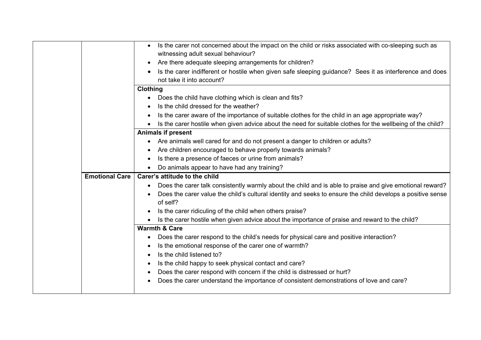|                       | Is the carer not concerned about the impact on the child or risks associated with co-sleeping such as<br>witnessing adult sexual behaviour? |
|-----------------------|---------------------------------------------------------------------------------------------------------------------------------------------|
|                       | Are there adequate sleeping arrangements for children?                                                                                      |
|                       | Is the carer indifferent or hostile when given safe sleeping guidance? Sees it as interference and does<br>not take it into account?        |
|                       | Clothing                                                                                                                                    |
|                       | Does the child have clothing which is clean and fits?<br>$\bullet$                                                                          |
|                       | Is the child dressed for the weather?                                                                                                       |
|                       | Is the carer aware of the importance of suitable clothes for the child in an age appropriate way?<br>$\bullet$                              |
|                       | Is the carer hostile when given advice about the need for suitable clothes for the wellbeing of the child?                                  |
|                       | <b>Animals if present</b>                                                                                                                   |
|                       | Are animals well cared for and do not present a danger to children or adults?<br>$\bullet$                                                  |
|                       | Are children encouraged to behave properly towards animals?<br>$\bullet$                                                                    |
|                       | Is there a presence of faeces or urine from animals?                                                                                        |
|                       | Do animals appear to have had any training?                                                                                                 |
| <b>Emotional Care</b> | Carer's attitude to the child                                                                                                               |
|                       | Does the carer talk consistently warmly about the child and is able to praise and give emotional reward?                                    |
|                       | Does the carer value the child's cultural identity and seeks to ensure the child develops a positive sense<br>of self?                      |
|                       | Is the carer ridiculing of the child when others praise?<br>$\bullet$                                                                       |
|                       | Is the carer hostile when given advice about the importance of praise and reward to the child?<br>$\bullet$                                 |
|                       | <b>Warmth &amp; Care</b>                                                                                                                    |
|                       | Does the carer respond to the child's needs for physical care and positive interaction?                                                     |
|                       | Is the emotional response of the carer one of warmth?                                                                                       |
|                       | Is the child listened to?<br>$\bullet$                                                                                                      |
|                       | Is the child happy to seek physical contact and care?<br>$\bullet$                                                                          |
|                       | Does the carer respond with concern if the child is distressed or hurt?                                                                     |
|                       | Does the carer understand the importance of consistent demonstrations of love and care?                                                     |
|                       |                                                                                                                                             |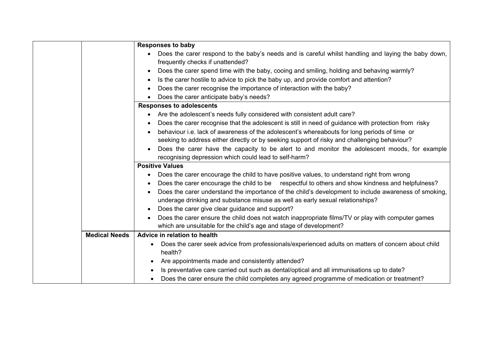|                      | <b>Responses to baby</b>                                                                                          |
|----------------------|-------------------------------------------------------------------------------------------------------------------|
|                      | Does the carer respond to the baby's needs and is careful whilst handling and laying the baby down,<br>$\bullet$  |
|                      | frequently checks if unattended?                                                                                  |
|                      | Does the carer spend time with the baby, cooing and smiling, holding and behaving warmly?<br>$\bullet$            |
|                      | Is the carer hostile to advice to pick the baby up, and provide comfort and attention?<br>$\bullet$               |
|                      | Does the carer recognise the importance of interaction with the baby?                                             |
|                      | Does the carer anticipate baby's needs?                                                                           |
|                      | <b>Responses to adolescents</b>                                                                                   |
|                      | • Are the adolescent's needs fully considered with consistent adult care?                                         |
|                      | Does the carer recognise that the adolescent is still in need of guidance with protection from risky              |
|                      | behaviour i.e. lack of awareness of the adolescent's whereabouts for long periods of time or                      |
|                      | seeking to address either directly or by seeking support of risky and challenging behaviour?                      |
|                      | Does the carer have the capacity to be alert to and monitor the adolescent moods, for example<br>$\bullet$        |
|                      | recognising depression which could lead to self-harm?                                                             |
|                      | <b>Positive Values</b>                                                                                            |
|                      | Does the carer encourage the child to have positive values, to understand right from wrong<br>$\bullet$           |
|                      | Does the carer encourage the child to be respectful to others and show kindness and helpfulness?                  |
|                      | Does the carer understand the importance of the child's development to include awareness of smoking,<br>$\bullet$ |
|                      | underage drinking and substance misuse as well as early sexual relationships?                                     |
|                      | Does the carer give clear guidance and support?                                                                   |
|                      |                                                                                                                   |
|                      | Does the carer ensure the child does not watch inappropriate films/TV or play with computer games<br>$\bullet$    |
|                      | which are unsuitable for the child's age and stage of development?                                                |
| <b>Medical Needs</b> | Advice in relation to health                                                                                      |
|                      | Does the carer seek advice from professionals/experienced adults on matters of concern about child                |
|                      | health?                                                                                                           |
|                      | Are appointments made and consistently attended?                                                                  |
|                      | Is preventative care carried out such as dental/optical and all immunisations up to date?                         |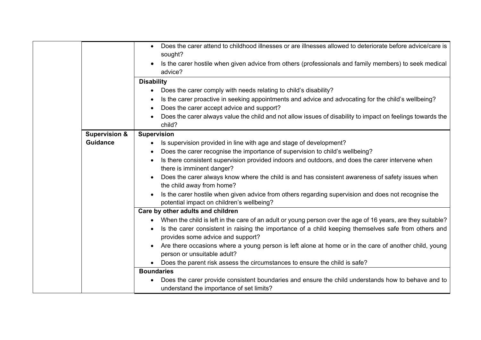|                          | Does the carer attend to childhood illnesses or are illnesses allowed to deteriorate before advice/care is<br>sought?<br>Is the carer hostile when given advice from others (professionals and family members) to seek medical<br>advice? |
|--------------------------|-------------------------------------------------------------------------------------------------------------------------------------------------------------------------------------------------------------------------------------------|
|                          | <b>Disability</b>                                                                                                                                                                                                                         |
|                          |                                                                                                                                                                                                                                           |
|                          | Does the carer comply with needs relating to child's disability?                                                                                                                                                                          |
|                          | Is the carer proactive in seeking appointments and advice and advocating for the child's wellbeing?<br>$\bullet$                                                                                                                          |
|                          | Does the carer accept advice and support?                                                                                                                                                                                                 |
|                          | Does the carer always value the child and not allow issues of disability to impact on feelings towards the<br>child?                                                                                                                      |
| <b>Supervision &amp;</b> | <b>Supervision</b>                                                                                                                                                                                                                        |
| <b>Guidance</b>          | Is supervision provided in line with age and stage of development?                                                                                                                                                                        |
|                          | Does the carer recognise the importance of supervision to child's wellbeing?                                                                                                                                                              |
|                          | Is there consistent supervision provided indoors and outdoors, and does the carer intervene when                                                                                                                                          |
|                          | there is imminent danger?                                                                                                                                                                                                                 |
|                          | Does the carer always know where the child is and has consistent awareness of safety issues when<br>the child away from home?                                                                                                             |
|                          | Is the carer hostile when given advice from others regarding supervision and does not recognise the<br>potential impact on children's wellbeing?                                                                                          |
|                          | Care by other adults and children                                                                                                                                                                                                         |
|                          | • When the child is left in the care of an adult or young person over the age of 16 years, are they suitable?                                                                                                                             |
|                          | Is the carer consistent in raising the importance of a child keeping themselves safe from others and                                                                                                                                      |
|                          | provides some advice and support?                                                                                                                                                                                                         |
|                          | Are there occasions where a young person is left alone at home or in the care of another child, young                                                                                                                                     |
|                          | person or unsuitable adult?                                                                                                                                                                                                               |
|                          | Does the parent risk assess the circumstances to ensure the child is safe?                                                                                                                                                                |
|                          | <b>Boundaries</b>                                                                                                                                                                                                                         |
|                          | Does the carer provide consistent boundaries and ensure the child understands how to behave and to                                                                                                                                        |
|                          | understand the importance of set limits?                                                                                                                                                                                                  |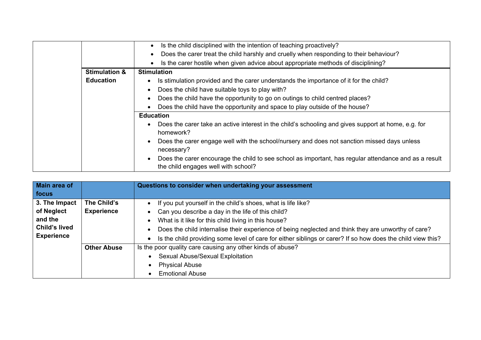|                          | Is the child disciplined with the intention of teaching proactively?<br>$\bullet$                                                            |
|--------------------------|----------------------------------------------------------------------------------------------------------------------------------------------|
|                          | Does the carer treat the child harshly and cruelly when responding to their behaviour?<br>$\bullet$                                          |
|                          | Is the carer hostile when given advice about appropriate methods of disciplining?<br>$\bullet$                                               |
| <b>Stimulation &amp;</b> | <b>Stimulation</b>                                                                                                                           |
| <b>Education</b>         | Is stimulation provided and the carer understands the importance of it for the child?                                                        |
|                          | Does the child have suitable toys to play with?                                                                                              |
|                          | Does the child have the opportunity to go on outings to child centred places?                                                                |
|                          | Does the child have the opportunity and space to play outside of the house?                                                                  |
|                          | <b>Education</b>                                                                                                                             |
|                          | Does the carer take an active interest in the child's schooling and gives support at home, e.g. for<br>homework?                             |
|                          | Does the carer engage well with the school/nursery and does not sanction missed days unless<br>necessary?                                    |
|                          | Does the carer encourage the child to see school as important, has regular attendance and as a result<br>the child engages well with school? |

| Main area of         |                    | Questions to consider when undertaking your assessment                                                      |
|----------------------|--------------------|-------------------------------------------------------------------------------------------------------------|
| focus                |                    |                                                                                                             |
| 3. The Impact        | The Child's        | If you put yourself in the child's shoes, what is life like?                                                |
| of Neglect           | <b>Experience</b>  | Can you describe a day in the life of this child?                                                           |
| and the              |                    | What is it like for this child living in this house?                                                        |
| <b>Child's lived</b> |                    | Does the child internalise their experience of being neglected and think they are unworthy of care?         |
| <b>Experience</b>    |                    | Is the child providing some level of care for either siblings or carer? If so how does the child view this? |
|                      | <b>Other Abuse</b> | Is the poor quality care causing any other kinds of abuse?                                                  |
|                      |                    | Sexual Abuse/Sexual Exploitation                                                                            |
|                      |                    | <b>Physical Abuse</b>                                                                                       |
|                      |                    | <b>Emotional Abuse</b>                                                                                      |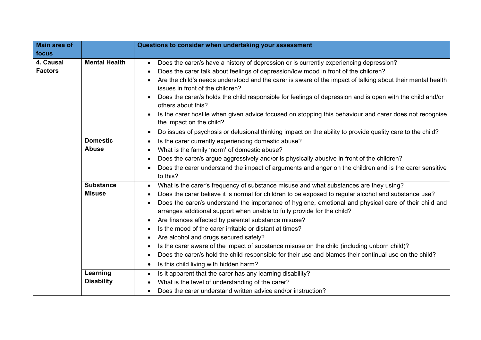| <b>Main area of</b>         |                                   | Questions to consider when undertaking your assessment                                                                                                                                                                                                                                                                                                                                                                                                                                                                                                                                                                                                                                                                                                                                                                                 |
|-----------------------------|-----------------------------------|----------------------------------------------------------------------------------------------------------------------------------------------------------------------------------------------------------------------------------------------------------------------------------------------------------------------------------------------------------------------------------------------------------------------------------------------------------------------------------------------------------------------------------------------------------------------------------------------------------------------------------------------------------------------------------------------------------------------------------------------------------------------------------------------------------------------------------------|
| focus                       |                                   |                                                                                                                                                                                                                                                                                                                                                                                                                                                                                                                                                                                                                                                                                                                                                                                                                                        |
| 4. Causal<br><b>Factors</b> | <b>Mental Health</b>              | Does the carer/s have a history of depression or is currently experiencing depression?<br>$\bullet$<br>Does the carer talk about feelings of depression/low mood in front of the children?<br>$\bullet$<br>Are the child's needs understood and the carer is aware of the impact of talking about their mental health<br>issues in front of the children?<br>Does the carer/s holds the child responsible for feelings of depression and is open with the child and/or<br>others about this?<br>Is the carer hostile when given advice focused on stopping this behaviour and carer does not recognise<br>the impact on the child?<br>Do issues of psychosis or delusional thinking impact on the ability to provide quality care to the child?<br>$\bullet$                                                                           |
|                             | <b>Domestic</b><br><b>Abuse</b>   | Is the carer currently experiencing domestic abuse?<br>$\bullet$                                                                                                                                                                                                                                                                                                                                                                                                                                                                                                                                                                                                                                                                                                                                                                       |
|                             |                                   | What is the family 'norm' of domestic abuse?<br>Does the carer/s argue aggressively and/or is physically abusive in front of the children?<br>$\bullet$<br>Does the carer understand the impact of arguments and anger on the children and is the carer sensitive<br>to this?                                                                                                                                                                                                                                                                                                                                                                                                                                                                                                                                                          |
|                             | <b>Substance</b><br><b>Misuse</b> | What is the carer's frequency of substance misuse and what substances are they using?<br>$\bullet$<br>Does the carer believe it is normal for children to be exposed to regular alcohol and substance use?<br>Does the carer/s understand the importance of hygiene, emotional and physical care of their child and<br>arranges additional support when unable to fully provide for the child?<br>Are finances affected by parental substance misuse?<br>$\bullet$<br>Is the mood of the carer irritable or distant at times?<br>Are alcohol and drugs secured safely?<br>Is the carer aware of the impact of substance misuse on the child (including unborn child)?<br>Does the carer/s hold the child responsible for their use and blames their continual use on the child?<br>Is this child living with hidden harm?<br>$\bullet$ |
|                             | Learning<br><b>Disability</b>     | Is it apparent that the carer has any learning disability?<br>$\bullet$<br>What is the level of understanding of the carer?<br>Does the carer understand written advice and/or instruction?                                                                                                                                                                                                                                                                                                                                                                                                                                                                                                                                                                                                                                            |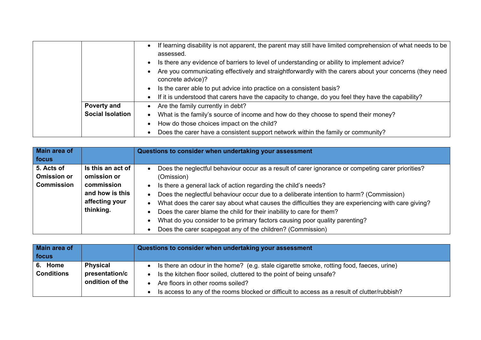|                         | If learning disability is not apparent, the parent may still have limited comprehension of what needs to be<br>$\bullet$<br>assessed. |
|-------------------------|---------------------------------------------------------------------------------------------------------------------------------------|
|                         | Is there any evidence of barriers to level of understanding or ability to implement advice?                                           |
|                         | Are you communicating effectively and straightforwardly with the carers about your concerns (they need<br>concrete advice)?           |
|                         | Is the carer able to put advice into practice on a consistent basis?                                                                  |
|                         | If it is understood that carers have the capacity to change, do you feel they have the capability?                                    |
| <b>Poverty and</b>      | Are the family currently in debt?<br>$\bullet$                                                                                        |
| <b>Social Isolation</b> | What is the family's source of income and how do they choose to spend their money?                                                    |
|                         | How do those choices impact on the child?                                                                                             |
|                         | Does the carer have a consistent support network within the family or community?                                                      |

| Main area of                                          |                                                                                                  | Questions to consider when undertaking your assessment                                                                                                                                                                                                                                                                                                                                                                                                                                                                                                                                                 |
|-------------------------------------------------------|--------------------------------------------------------------------------------------------------|--------------------------------------------------------------------------------------------------------------------------------------------------------------------------------------------------------------------------------------------------------------------------------------------------------------------------------------------------------------------------------------------------------------------------------------------------------------------------------------------------------------------------------------------------------------------------------------------------------|
| focus                                                 |                                                                                                  |                                                                                                                                                                                                                                                                                                                                                                                                                                                                                                                                                                                                        |
| 5. Acts of<br><b>Omission or</b><br><b>Commission</b> | Is this an act of<br>omission or<br>commission<br>and how is this<br>affecting your<br>thinking. | Does the neglectful behaviour occur as a result of carer ignorance or competing carer priorities?<br>(Omission)<br>Is there a general lack of action regarding the child's needs?<br>Does the neglectful behaviour occur due to a deliberate intention to harm? (Commission)<br>What does the carer say about what causes the difficulties they are experiencing with care giving?<br>Does the carer blame the child for their inability to care for them?<br>What do you consider to be primary factors causing poor quality parenting?<br>Does the carer scapegoat any of the children? (Commission) |

| Main area of      |                 | Questions to consider when undertaking your assessment                                       |
|-------------------|-----------------|----------------------------------------------------------------------------------------------|
| focus             |                 |                                                                                              |
| 6. Home           | <b>Physical</b> | Is there an odour in the home? (e.g. stale cigarette smoke, rotting food, faeces, urine)     |
| <b>Conditions</b> | presentation/c  | Is the kitchen floor soiled, cluttered to the point of being unsafe?                         |
|                   | ondition of the | Are floors in other rooms soiled?                                                            |
|                   |                 | Is access to any of the rooms blocked or difficult to access as a result of clutter/rubbish? |